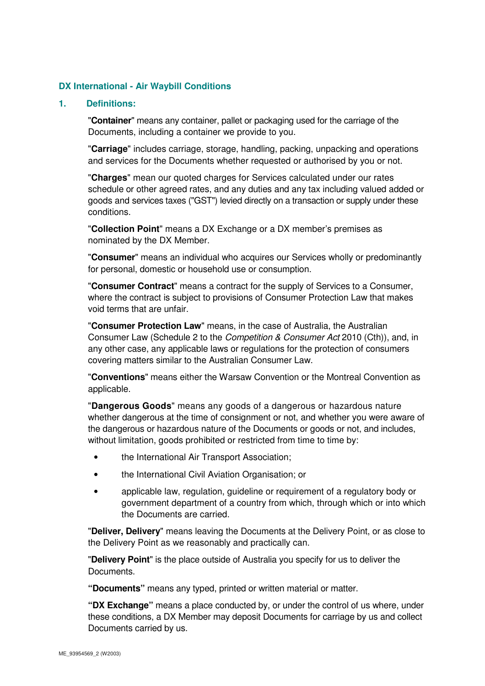### **DX International - Air Waybill Conditions**

#### **1. Definitions:**

"**Container**" means any container, pallet or packaging used for the carriage of the Documents, including a container we provide to you.

"**Carriage**" includes carriage, storage, handling, packing, unpacking and operations and services for the Documents whether requested or authorised by you or not.

"**Charges**" mean our quoted charges for Services calculated under our rates schedule or other agreed rates, and any duties and any tax including valued added or goods and services taxes ("GST") levied directly on a transaction or supply under these conditions.

"**Collection Point**" means a DX Exchange or a DX member's premises as nominated by the DX Member.

"**Consumer**" means an individual who acquires our Services wholly or predominantly for personal, domestic or household use or consumption.

"**Consumer Contract**" means a contract for the supply of Services to a Consumer, where the contract is subject to provisions of Consumer Protection Law that makes void terms that are unfair.

"**Consumer Protection Law**" means, in the case of Australia, the Australian Consumer Law (Schedule 2 to the Competition & Consumer Act 2010 (Cth)), and, in any other case, any applicable laws or regulations for the protection of consumers covering matters similar to the Australian Consumer Law.

"**Conventions**" means either the Warsaw Convention or the Montreal Convention as applicable.

"**Dangerous Goods**" means any goods of a dangerous or hazardous nature whether dangerous at the time of consignment or not, and whether you were aware of the dangerous or hazardous nature of the Documents or goods or not, and includes, without limitation, goods prohibited or restricted from time to time by:

- the International Air Transport Association;
- the International Civil Aviation Organisation; or
- applicable law, regulation, guideline or requirement of a regulatory body or government department of a country from which, through which or into which the Documents are carried.

"**Deliver, Delivery**" means leaving the Documents at the Delivery Point, or as close to the Delivery Point as we reasonably and practically can.

"**Delivery Point**" is the place outside of Australia you specify for us to deliver the Documents.

**"Documents"** means any typed, printed or written material or matter.

**"DX Exchange"** means a place conducted by, or under the control of us where, under these conditions, a DX Member may deposit Documents for carriage by us and collect Documents carried by us.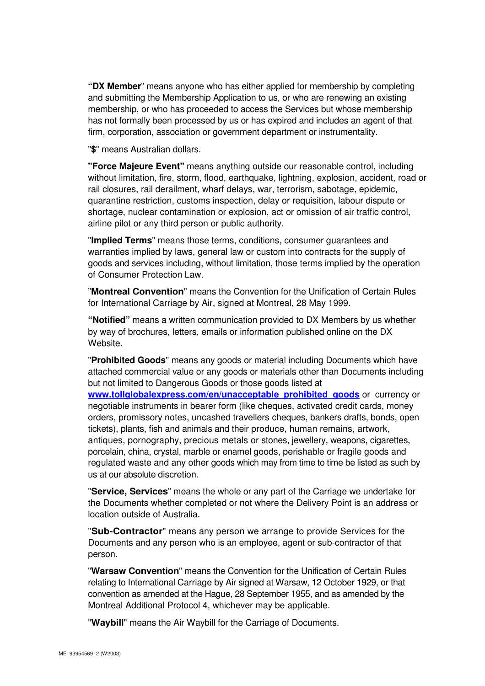**"DX Member**" means anyone who has either applied for membership by completing and submitting the Membership Application to us, or who are renewing an existing membership, or who has proceeded to access the Services but whose membership has not formally been processed by us or has expired and includes an agent of that firm, corporation, association or government department or instrumentality.

"**\$**" means Australian dollars.

**"Force Majeure Event"** means anything outside our reasonable control, including without limitation, fire, storm, flood, earthquake, lightning, explosion, accident, road or rail closures, rail derailment, wharf delays, war, terrorism, sabotage, epidemic, quarantine restriction, customs inspection, delay or requisition, labour dispute or shortage, nuclear contamination or explosion, act or omission of air traffic control, airline pilot or any third person or public authority.

"**Implied Terms**" means those terms, conditions, consumer guarantees and warranties implied by laws, general law or custom into contracts for the supply of goods and services including, without limitation, those terms implied by the operation of Consumer Protection Law.

"**Montreal Convention**" means the Convention for the Unification of Certain Rules for International Carriage by Air, signed at Montreal, 28 May 1999.

**"Notified"** means a written communication provided to DX Members by us whether by way of brochures, letters, emails or information published online on the DX Website.

"**Prohibited Goods**" means any goods or material including Documents which have attached commercial value or any goods or materials other than Documents including but not limited to Dangerous Goods or those goods listed at

**www.tollglobalexpress.com/en/unacceptable\_prohibited\_goods** or currency or negotiable instruments in bearer form (like cheques, activated credit cards, money orders, promissory notes, uncashed travellers cheques, bankers drafts, bonds, open tickets), plants, fish and animals and their produce, human remains, artwork, antiques, pornography, precious metals or stones, jewellery, weapons, cigarettes, porcelain, china, crystal, marble or enamel goods, perishable or fragile goods and regulated waste and any other goods which may from time to time be listed as such by us at our absolute discretion.

"**Service, Services**" means the whole or any part of the Carriage we undertake for the Documents whether completed or not where the Delivery Point is an address or location outside of Australia.

"**Sub-Contractor**" means any person we arrange to provide Services for the Documents and any person who is an employee, agent or sub-contractor of that person.

"**Warsaw Convention**" means the Convention for the Unification of Certain Rules relating to International Carriage by Air signed at Warsaw, 12 October 1929, or that convention as amended at the Hague, 28 September 1955, and as amended by the Montreal Additional Protocol 4, whichever may be applicable.

"**Waybill**" means the Air Waybill for the Carriage of Documents.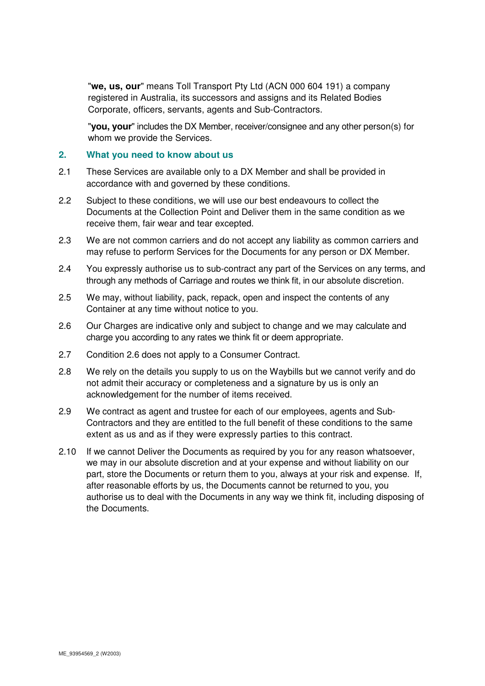"**we, us, our**" means Toll Transport Pty Ltd (ACN 000 604 191) a company registered in Australia, its successors and assigns and its Related Bodies Corporate, officers, servants, agents and Sub-Contractors.

"**you, your**" includes the DX Member, receiver/consignee and any other person(s) for whom we provide the Services.

#### **2. What you need to know about us**

- 2.1 These Services are available only to a DX Member and shall be provided in accordance with and governed by these conditions.
- 2.2 Subject to these conditions, we will use our best endeavours to collect the Documents at the Collection Point and Deliver them in the same condition as we receive them, fair wear and tear excepted.
- 2.3 We are not common carriers and do not accept any liability as common carriers and may refuse to perform Services for the Documents for any person or DX Member.
- 2.4 You expressly authorise us to sub-contract any part of the Services on any terms, and through any methods of Carriage and routes we think fit, in our absolute discretion.
- 2.5 We may, without liability, pack, repack, open and inspect the contents of any Container at any time without notice to you.
- 2.6 Our Charges are indicative only and subject to change and we may calculate and charge you according to any rates we think fit or deem appropriate.
- 2.7 Condition 2.6 does not apply to a Consumer Contract.
- 2.8 We rely on the details you supply to us on the Waybills but we cannot verify and do not admit their accuracy or completeness and a signature by us is only an acknowledgement for the number of items received.
- 2.9 We contract as agent and trustee for each of our employees, agents and Sub-Contractors and they are entitled to the full benefit of these conditions to the same extent as us and as if they were expressly parties to this contract.
- 2.10 If we cannot Deliver the Documents as required by you for any reason whatsoever, we may in our absolute discretion and at your expense and without liability on our part, store the Documents or return them to you, always at your risk and expense. If, after reasonable efforts by us, the Documents cannot be returned to you, you authorise us to deal with the Documents in any way we think fit, including disposing of the Documents.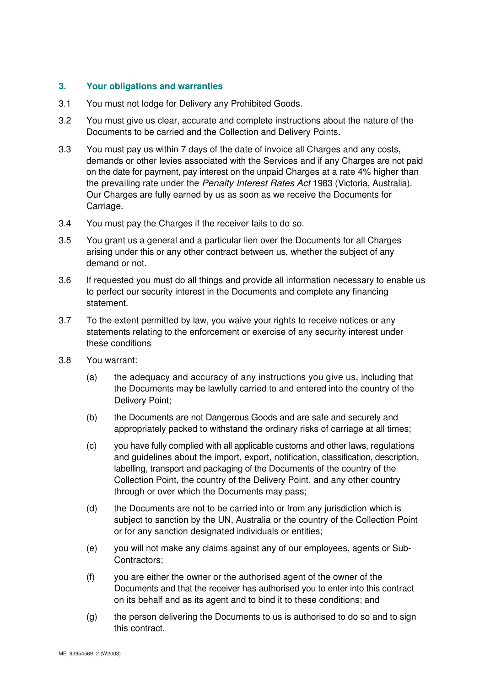### **3. Your obligations and warranties**

- 3.1 You must not lodge for Delivery any Prohibited Goods.
- 3.2 You must give us clear, accurate and complete instructions about the nature of the Documents to be carried and the Collection and Delivery Points.
- 3.3 You must pay us within 7 days of the date of invoice all Charges and any costs, demands or other levies associated with the Services and if any Charges are not paid on the date for payment, pay interest on the unpaid Charges at a rate 4% higher than the prevailing rate under the *Penalty Interest Rates Act* 1983 (Victoria, Australia). Our Charges are fully earned by us as soon as we receive the Documents for Carriage.
- 3.4 You must pay the Charges if the receiver fails to do so.
- 3.5 You grant us a general and a particular lien over the Documents for all Charges arising under this or any other contract between us, whether the subject of any demand or not.
- 3.6 If requested you must do all things and provide all information necessary to enable us to perfect our security interest in the Documents and complete any financing statement.
- 3.7 To the extent permitted by law, you waive your rights to receive notices or any statements relating to the enforcement or exercise of any security interest under these conditions
- 3.8 You warrant:
	- (a) the adequacy and accuracy of any instructions you give us, including that the Documents may be lawfully carried to and entered into the country of the Delivery Point;
	- (b) the Documents are not Dangerous Goods and are safe and securely and appropriately packed to withstand the ordinary risks of carriage at all times;
	- (c) you have fully complied with all applicable customs and other laws, regulations and guidelines about the import, export, notification, classification, description, labelling, transport and packaging of the Documents of the country of the Collection Point, the country of the Delivery Point, and any other country through or over which the Documents may pass;
	- (d) the Documents are not to be carried into or from any jurisdiction which is subject to sanction by the UN, Australia or the country of the Collection Point or for any sanction designated individuals or entities;
	- (e) you will not make any claims against any of our employees, agents or Sub-Contractors;
	- (f) you are either the owner or the authorised agent of the owner of the Documents and that the receiver has authorised you to enter into this contract on its behalf and as its agent and to bind it to these conditions; and
	- (g) the person delivering the Documents to us is authorised to do so and to sign this contract.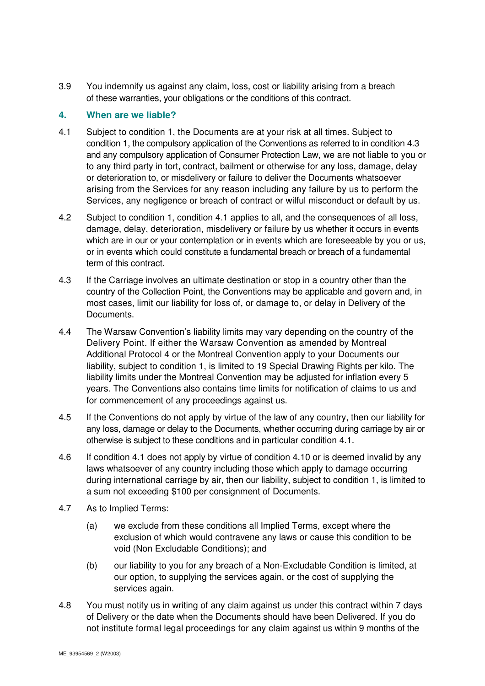3.9 You indemnify us against any claim, loss, cost or liability arising from a breach of these warranties, your obligations or the conditions of this contract.

### **4. When are we liable?**

- 4.1 Subject to condition 1, the Documents are at your risk at all times. Subject to condition 1, the compulsory application of the Conventions as referred to in condition 4.3 and any compulsory application of Consumer Protection Law, we are not liable to you or to any third party in tort, contract, bailment or otherwise for any loss, damage, delay or deterioration to, or misdelivery or failure to deliver the Documents whatsoever arising from the Services for any reason including any failure by us to perform the Services, any negligence or breach of contract or wilful misconduct or default by us.
- 4.2 Subject to condition 1, condition 4.1 applies to all, and the consequences of all loss, damage, delay, deterioration, misdelivery or failure by us whether it occurs in events which are in our or your contemplation or in events which are foreseeable by you or us, or in events which could constitute a fundamental breach or breach of a fundamental term of this contract.
- 4.3 If the Carriage involves an ultimate destination or stop in a country other than the country of the Collection Point, the Conventions may be applicable and govern and, in most cases, limit our liability for loss of, or damage to, or delay in Delivery of the Documents.
- 4.4 The Warsaw Convention's liability limits may vary depending on the country of the Delivery Point. If either the Warsaw Convention as amended by Montreal Additional Protocol 4 or the Montreal Convention apply to your Documents our liability, subject to condition 1, is limited to 19 Special Drawing Rights per kilo. The liability limits under the Montreal Convention may be adjusted for inflation every 5 years. The Conventions also contains time limits for notification of claims to us and for commencement of any proceedings against us.
- 4.5 If the Conventions do not apply by virtue of the law of any country, then our liability for any loss, damage or delay to the Documents, whether occurring during carriage by air or otherwise is subject to these conditions and in particular condition 4.1.
- 4.6 If condition 4.1 does not apply by virtue of condition 4.10 or is deemed invalid by any laws whatsoever of any country including those which apply to damage occurring during international carriage by air, then our liability, subject to condition 1, is limited to a sum not exceeding \$100 per consignment of Documents.
- 4.7 As to Implied Terms:
	- (a) we exclude from these conditions all Implied Terms, except where the exclusion of which would contravene any laws or cause this condition to be void (Non Excludable Conditions); and
	- (b) our liability to you for any breach of a Non-Excludable Condition is limited, at our option, to supplying the services again, or the cost of supplying the services again.
- 4.8 You must notify us in writing of any claim against us under this contract within 7 days of Delivery or the date when the Documents should have been Delivered. If you do not institute formal legal proceedings for any claim against us within 9 months of the